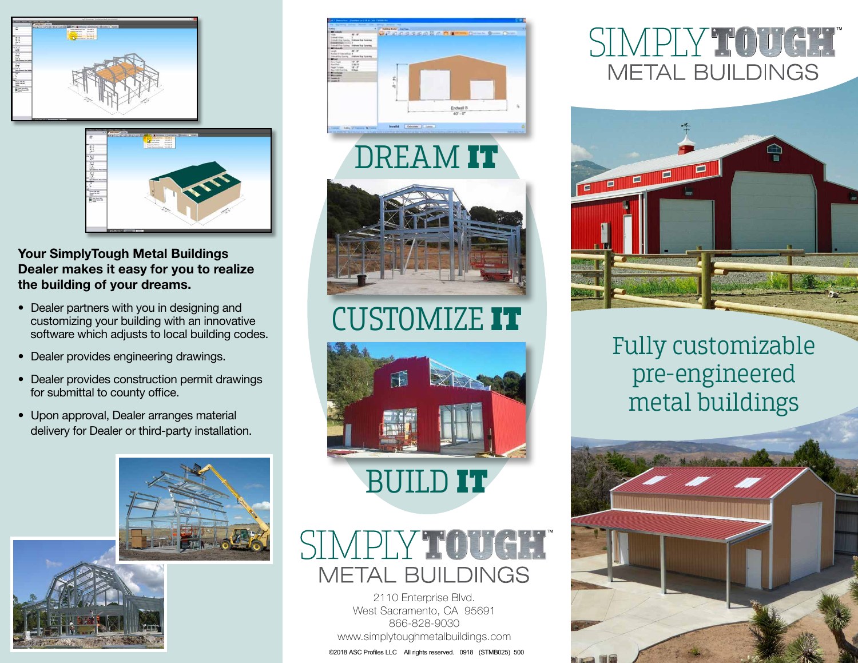



#### Your SimplyTough Metal Buildings Dealer makes it easy for you to realize the building of your dreams.

- Dealer partners with you in designing and customizing your building with an innovative software which adjusts to local building codes.
- Dealer provides engineering drawings.
- Dealer provides construction permit drawings for submittal to county office.
- Upon approval, Dealer arranges material delivery for Dealer or third-party installation.









## CUSTOMIZE IT



#### SIMPLY TOUGH **METAL BUILDINGS**

2110 Enterprise Blvd. West Sacramento, CA 95691 866-828-9030 www.simplytoughmetalbuildings.com ©2018 ASC Profiles LLC All rights reserved. 0918 (STMB025) 500

#### SIMPLY TOUGH METAL BUILDINGS



#### Fully customizable pre-engineered metal buildings